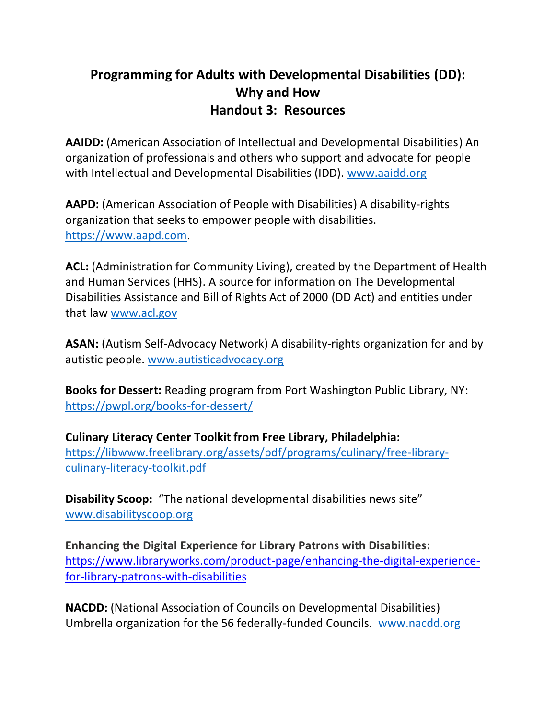## **Programming for Adults with Developmental Disabilities (DD): Why and How Handout 3: Resources**

**AAIDD:** (American Association of Intellectual and Developmental Disabilities) An organization of professionals and others who support and advocate for people with Intellectual and Developmental Disabilities (IDD). [www.aaidd.org](http://www.aaidd.org/)

AAPD: (American Association of People with Disabilities) A disability-rights organization that seeks to empower people with disabilities. [https://www.aapd.com.](https://www.aapd.com/)

**ACL:** (Administration for Community Living), created by the Department of Health and Human Services (HHS). A source for information on The Developmental Disabilities Assistance and Bill of Rights Act of 2000 (DD Act) and entities under that law [www.acl.gov](http://www.acl.gov/)

**ASAN:** (Autism Self-Advocacy Network) A disability-rights organization for and by autistic people. [www.autisticadvocacy.org](http://www.autisticadvocacy.org/)

**Books for Dessert:** Reading program from Port Washington Public Library, NY: <https://pwpl.org/books-for-dessert/>

**Culinary Literacy Center Toolkit from Free Library, Philadelphia:**  [https://libwww.freelibrary.org/assets/pdf/programs/culinary/free-library](https://libwww.freelibrary.org/assets/pdf/programs/culinary/free-library-culinary-literacy-toolkit.pdf)[culinary-literacy-toolkit.pdf](https://libwww.freelibrary.org/assets/pdf/programs/culinary/free-library-culinary-literacy-toolkit.pdf)

**Disability Scoop:** "The national developmental disabilities news site" [www.disabilityscoop.org](http://www.disabilityscoop.org/)

**Enhancing the Digital Experience for Library Patrons with Disabilities:** [https://www.libraryworks.com/product-page/enhancing-the-digital-experience](https://www.libraryworks.com/product-page/enhancing-the-digital-experience-for-library-patrons-with-disabilities)[for-library-patrons-with-disabilities](https://www.libraryworks.com/product-page/enhancing-the-digital-experience-for-library-patrons-with-disabilities)

**NACDD:** (National Association of Councils on Developmental Disabilities) Umbrella organization for the 56 federally-funded Councils. [www.nacdd.org](http://www.nacdd.org/)